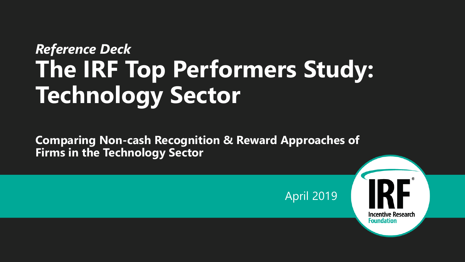# *Reference Deck* **The IRF Top Performers Study: Technology Sector**

**Comparing Non-cash Recognition & Reward Approaches of Firms in the Technology Sector**

April 2019

**Incentive Research Foundation**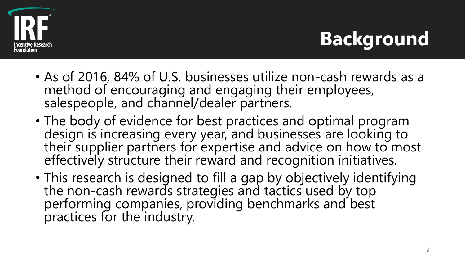

# **Background**

- As of 2016, 84% of U.S. businesses utilize non-cash rewards as a method of encouraging and engaging their employees, salespeople, and channel/dealer partners.
- The body of evidence for best practices and optimal program design is increasing every year, and businesses are looking to their supplier partners for expertise and advice on how to most effectively structure their reward and recognition initiatives.
- This research is designed to fill a gap by objectively identifying the non-cash rewards strategies and tactics used by top performing companies, providing benchmarks and best practices for the industry.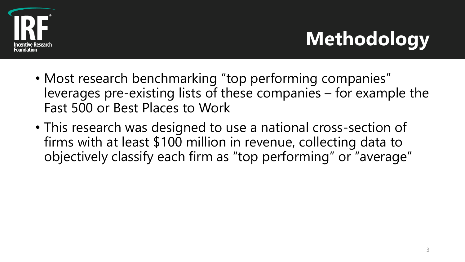

# **Methodology**

- Most research benchmarking "top performing companies" leverages pre-existing lists of these companies – for example the Fast 500 or Best Places to Work
- This research was designed to use a national cross-section of firms with at least \$100 million in revenue, collecting data to objectively classify each firm as "top performing" or "average"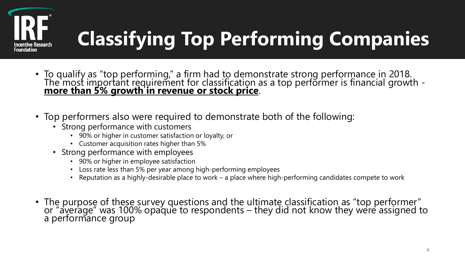

# **Classifying Top Performing Companies**

- To qualify as "top performing," a firm had to demonstrate strong performance in 2018. The most important requirement for classification as a top performer is financial growth **more than 5% growth in revenue or stock price**.
- Top performers also were required to demonstrate both of the following:
	- Strong performance with customers
		- 90% or higher in customer satisfaction or loyalty, or
		- Customer acquisition rates higher than 5%
	- Strong performance with employees
		- 90% or higher in employee satisfaction
		- Loss rate less than 5% per year among high-performing employees
		- Reputation as a highly-desirable place to work a place where high-performing candidates compete to work
- The purpose of these survey questions and the ultimate classification as "top performer" or "average" was 100% opaque to respondents – they did not know they were assigned to a performance group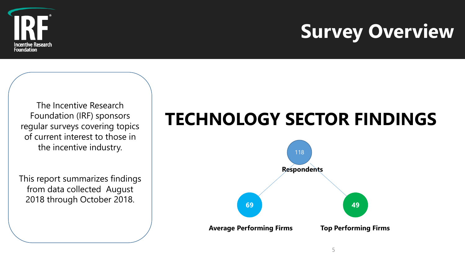

# **Survey Overview**

The Incentive Research Foundation (IRF) sponsors regular surveys covering topics of current interest to those in the incentive industry.

This report summarizes findings from data collected August 2018 through October 2018.

# **TECHNOLOGY SECTOR FINDINGS**

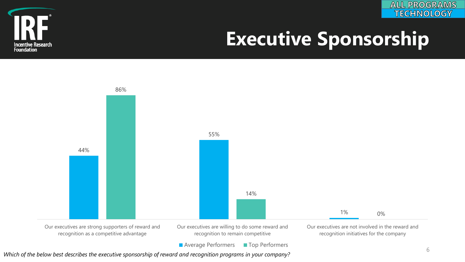



# **Executive Sponsorship**



*Which of the below best describes the executive sponsorship of reward and recognition programs in your company?*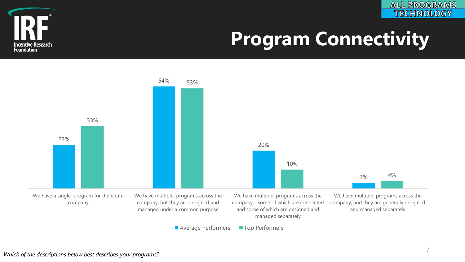



# **Program Connectivity**

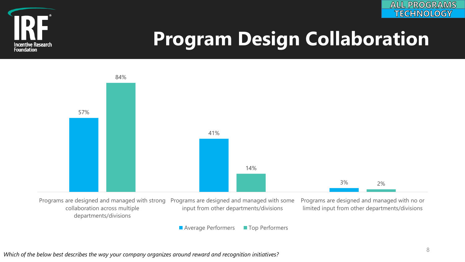



# **Program Design Collaboration**

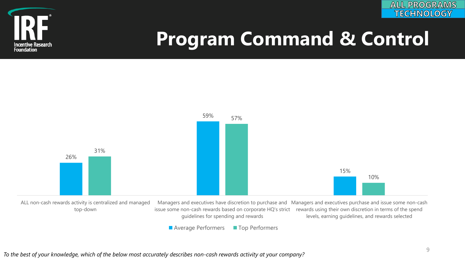





*To the best of your knowledge, which of the below most accurately describes non-cash rewards activity at your company?*

**ALL PROGRAMS TECHNOLOGY**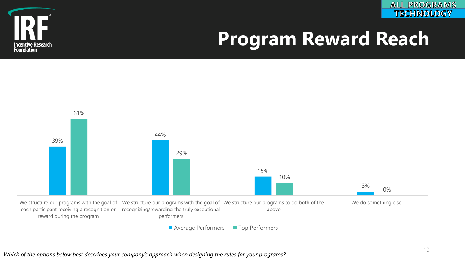



# **Program Reward Reach**



*Which of the options below best describes your company's approach when designing the rules for your programs?*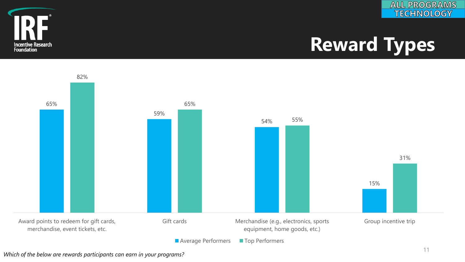



# **Reward Types**



*Which of the below are rewards participants can earn in your programs?*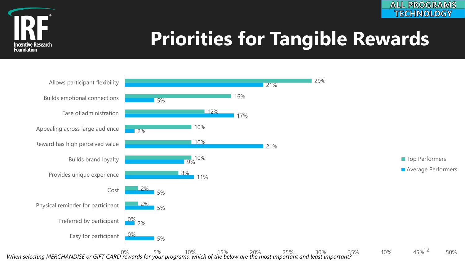

# **Priorities for Tangible Rewards**

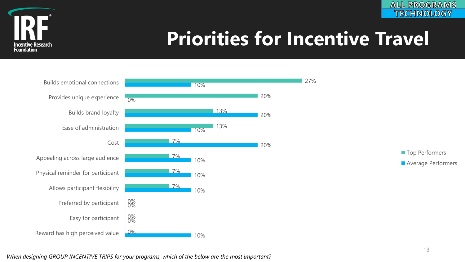



# **Priorities for Incentive Travel**



*When designing GROUP INCENTIVE TRIPS for your programs, which of the below are the most important?*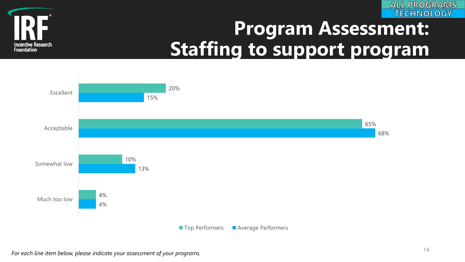



# **Program Assessment: Staffing to support program**

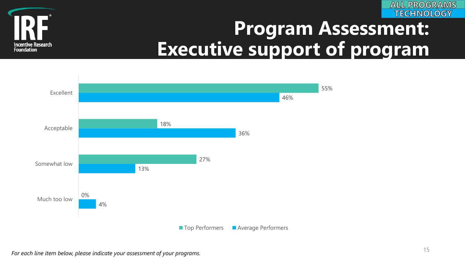



## **Program Assessment: Executive support of program**

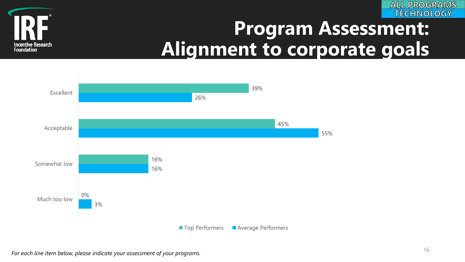



# **Program Assessment: Alignment to corporate goals**

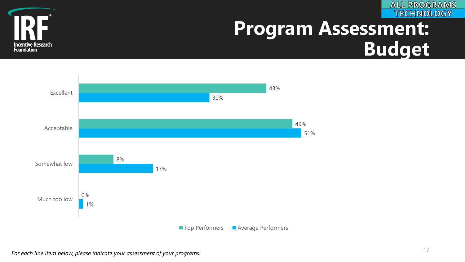



## **Program Assessment: Budget**

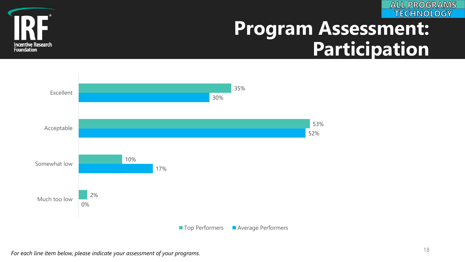



# **Program Assessment: Participation**

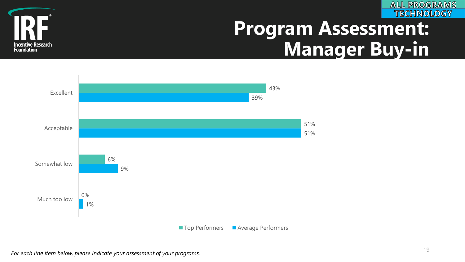



# **Program Assessment: Manager Buy-in**

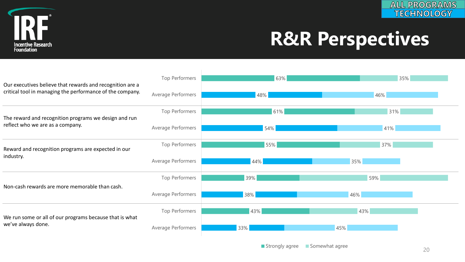

# **R&R Perspectives**

| Our executives believe that rewards and recognition are a<br>critical tool in managing the performance of the company. | Top Performers     | 63% | 35% |
|------------------------------------------------------------------------------------------------------------------------|--------------------|-----|-----|
|                                                                                                                        | Average Performers | 48% | 46% |
| The reward and recognition programs we design and run<br>reflect who we are as a company.                              | Top Performers     | 61% | 31% |
|                                                                                                                        | Average Performers | 54% | 41% |
| Reward and recognition programs are expected in our<br>industry.                                                       | Top Performers     | 55% | 37% |
|                                                                                                                        | Average Performers | 44% | 35% |
| Non-cash rewards are more memorable than cash.                                                                         | Top Performers     | 39% | 59% |
|                                                                                                                        | Average Performers | 38% | 46% |
| We run some or all of our programs because that is what<br>we've always done.                                          | Top Performers     | 43% | 43% |
|                                                                                                                        | Average Performers | 33% | 45% |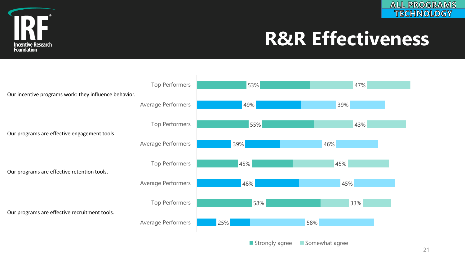



# **R&R Effectiveness**

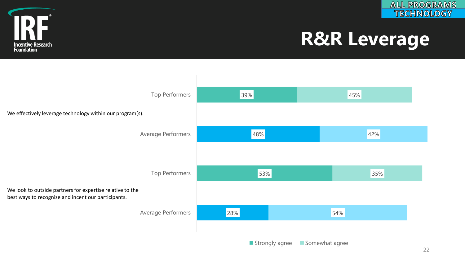



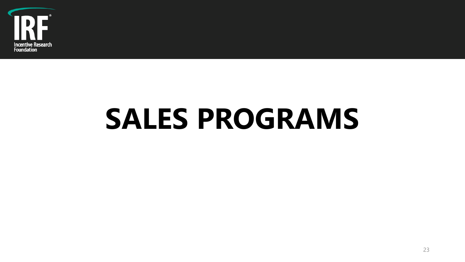

# **SALES PROGRAMS**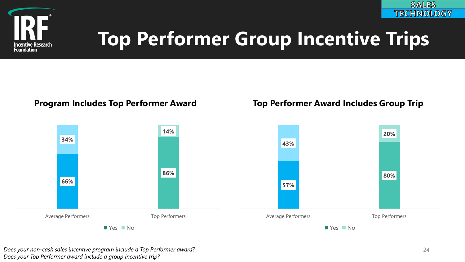

#### **Program Includes Top Performer Award Top Performer Award Includes Group Trip**



*Does your non-cash sales incentive program include a Top Performer award? Does your Top Performer award include a group incentive trip?* 

**SALES TECHNOLOGY**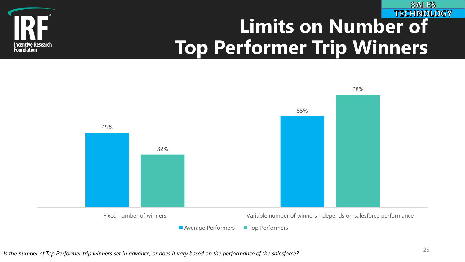

#### **TECHNOLOGY Limits on Number of Top Performer Trip Winners**



**SALES**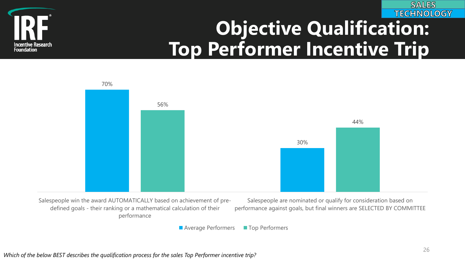



# **Objective Qualification: Top Performer Incentive Trip**



■ Average Performers ■ Top Performers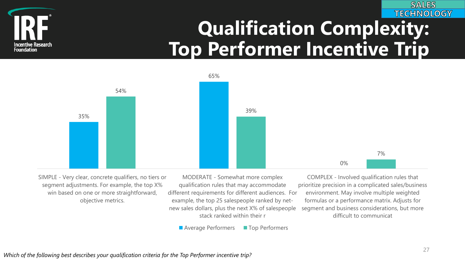

### **TECHNOLOGY Qualification Complexity: Top Performer Incentive Trip**



SIMPLE - Very clear, concrete qualifiers, no tiers or segment adjustments. For example, the top X% win based on one or more straightforward, objective metrics.

MODERATE - Somewhat more complex qualification rules that may accommodate different requirements for different audiences. For example, the top 25 salespeople ranked by netnew sales dollars, plus the next X% of salespeople stack ranked within their r

COMPLEX - Involved qualification rules that prioritize precision in a complicated sales/business environment. May involve multiple weighted formulas or a performance matrix. Adjusts for segment and business considerations, but more difficult to communicat

**Average Performers** Top Performers

**SALES**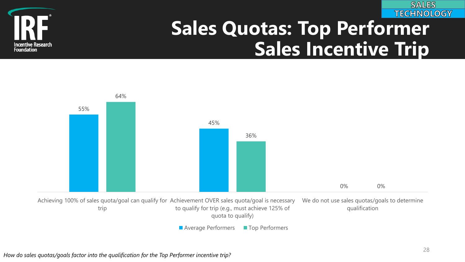



# **Sales Quotas: Top Performer Sales Incentive Trip**

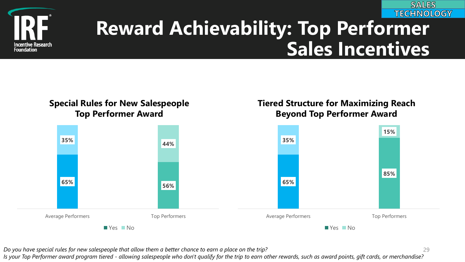



# **Reward Achievability: Top Performer Sales Incentives**

**Tiered Structure for Maximizing Reach**

**Beyond Top Performer Award**

#### **Special Rules for New Salespeople Top Performer Award**

#### **65% 56% 35% 44%** Average Performers Top Performers Yes No **65% 85% 35% 15%** Average Performers Top Performers **No**Yes No

*Do you have special rules for new salespeople that allow them a better chance to earn a place on the trip?*

*Is your Top Performer award program tiered - allowing salespeople who don't qualify for the trip to earn other rewards, such as award points, gift cards, or merchandise?*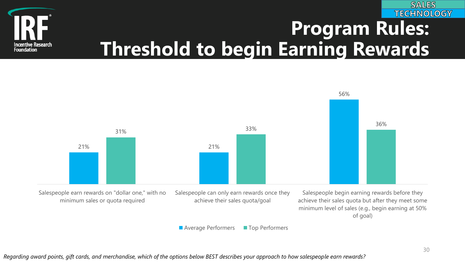

### **TECHNOLOGY Program Rules: Threshold to begin Earning Rewards**



*Regarding award points, gift cards, and merchandise, which of the options below BEST describes your approach to how salespeople earn rewards?*

**SALES**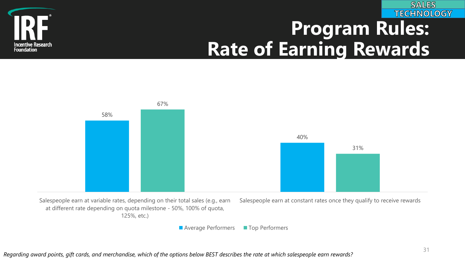

### **TECHNOLOGY Program Rules: Rate of Earning Rewards**



*Regarding award points, gift cards, and merchandise, which of the options below BEST describes the rate at which salespeople earn rewards?*

**SALES**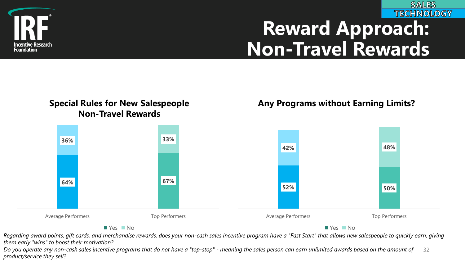

### **TECHNOLOGY Reward Approach: Non-Travel Rewards**

**SALES** 

#### **Special Rules for New Salespeople Non-Travel Rewards**

#### **Any Programs without Earning Limits?**



Regarding award points, gift cards, and merchandise rewards, does your non-cash sales incentive program have a "Fast Start" that allows new salespeople to quickly earn, giving *them early "wins" to boost their motivation?*

32 *Do you operate any non-cash sales incentive programs that do not have a "top-stop" - meaning the sales person can earn unlimited awards based on the amount of product/service they sell?*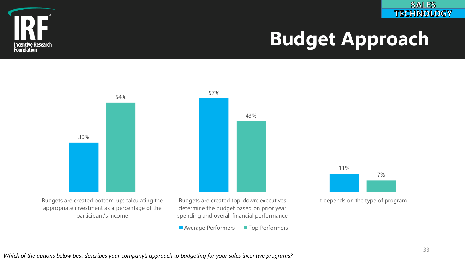



# **Budget Approach**



■ Average Performers ■ Top Performers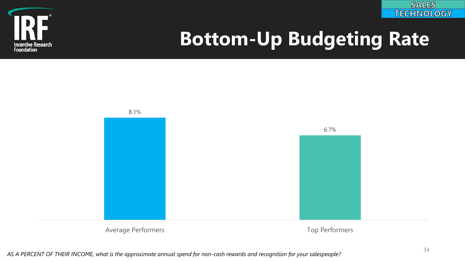



# **Bottom-Up Budgeting Rate**

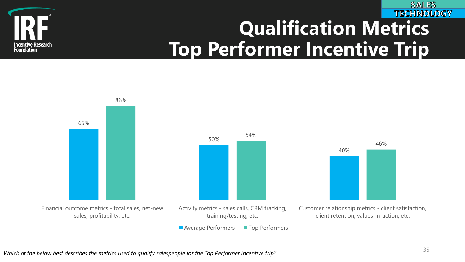

### **TECHNOLOGY Qualification Metrics Top Performer Incentive Trip**



*Which of the below best describes the metrics used to qualify salespeople for the Top Performer incentive trip?* <sup>35</sup>

**SALES**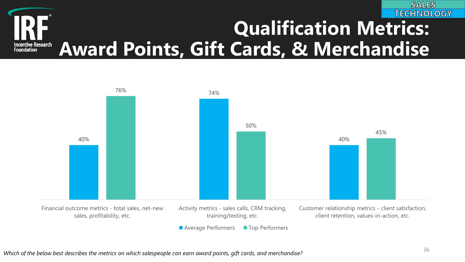

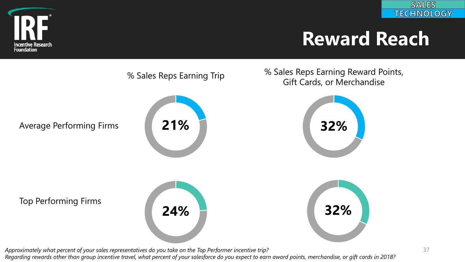

# **Reward Reach**



*Regarding rewards other than group incentive travel, what percent of your salesforce do you expect to earn award points, merchandise, or gift cards in 2018?*

**SALES TECHNOLOGY**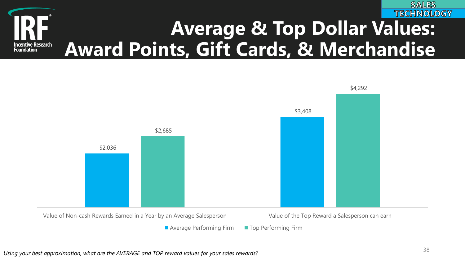



**Average Performing Firm Top Performing Firm**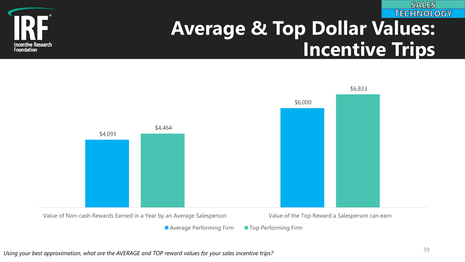

# **Average & Top Dollar Values: Incentive Trips**





■ Average Performing Firm ■ Top Performing Firm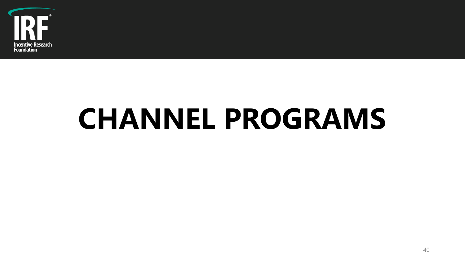

# **CHANNEL PROGRAMS**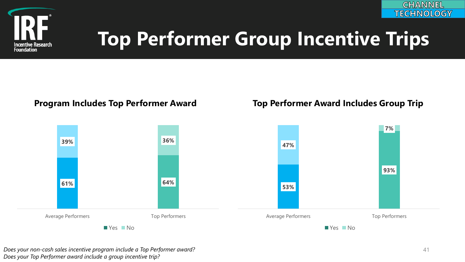

#### **Program Includes Top Performer Award Top Performer Award Includes Group Trip**



*Does your non-cash sales incentive program include a Top Performer award? Does your Top Performer award include a group incentive trip?* 

**CHANNEL TECHNOLOGY**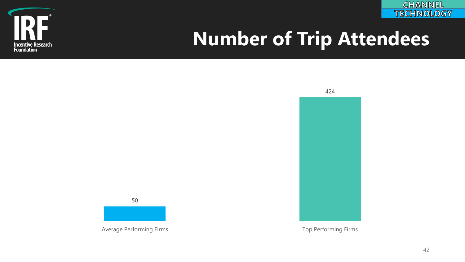



# **Number of Trip Attendees**

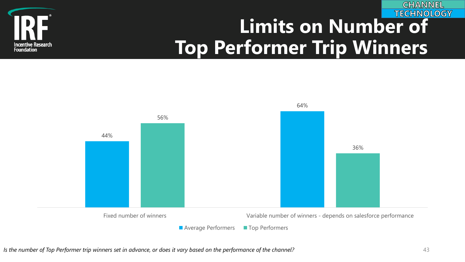

#### **TECHNOLOGY Limits on Number of Top Performer Trip Winners**

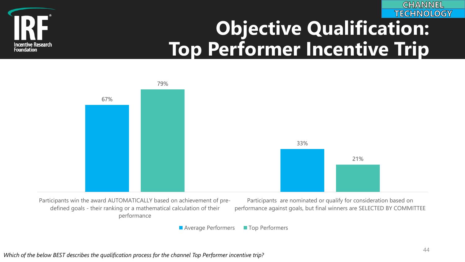



# **Objective Qualification: Top Performer Incentive Trip**



■ Average Performers ■ Top Performers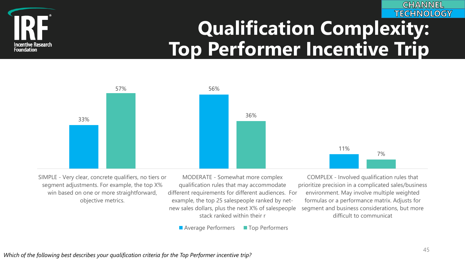

### **TECHNOLOGY Qualification Complexity: Top Performer Incentive Trip**



SIMPLE - Very clear, concrete qualifiers, no tiers or segment adjustments. For example, the top X% win based on one or more straightforward, objective metrics.

MODERATE - Somewhat more complex qualification rules that may accommodate different requirements for different audiences. For example, the top 25 salespeople ranked by netnew sales dollars, plus the next X% of salespeople stack ranked within their r

COMPLEX - Involved qualification rules that prioritize precision in a complicated sales/business environment. May involve multiple weighted formulas or a performance matrix. Adjusts for segment and business considerations, but more difficult to communicat

**Average Performers** Top Performers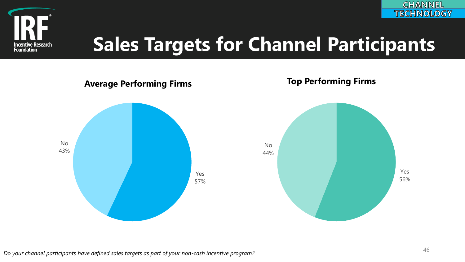



# **Sales Targets for Channel Participants**

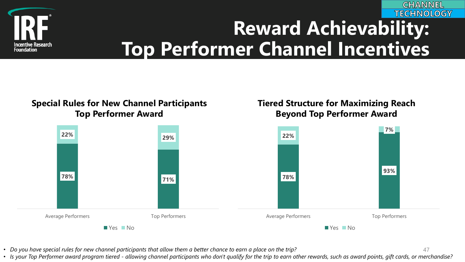

### **TECHNOLOGY Reward Achievability: Top Performer Channel Incentives**

**Tiered Structure for Maximizing Reach**

**Beyond Top Performer Award**

47

**CHANNEL** 

#### **Special Rules for New Channel Participants Top Performer Award**



• *Do you have special rules for new channel participants that allow them a better chance to earn a place on the trip?*

• *Is your Top Performer award program tiered - allowing channel participants who don't qualify for the trip to earn other rewards, such as award points, gift cards, or merchandise?*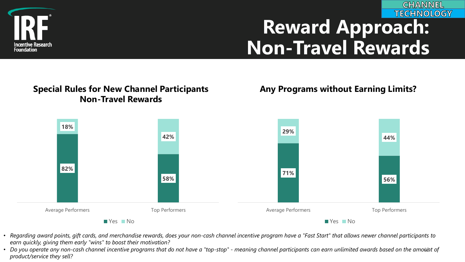

### **TECHNOLOGY Reward Approach: Non-Travel Rewards**

**CHANNEL** 

#### **Special Rules for New Channel Participants Non-Travel Rewards**

#### **Any Programs without Earning Limits?**



- *Regarding award points, gift cards, and merchandise rewards, does your non-cash channel incentive program have a "Fast Start" that allows newer channel participants to earn quickly, giving them early "wins" to boost their motivation?*
- Do you operate any non-cash channel incentive programs that do not have a "top-stop" meaning channel participants can earn unlimited awards based on the amount of *product/service they sell?*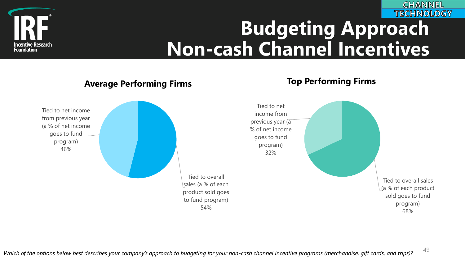

### **TECHNOLOGY Budgeting Approach Non-cash Channel Incentives**

#### **Average Performing Firms Top Performing Firms**





49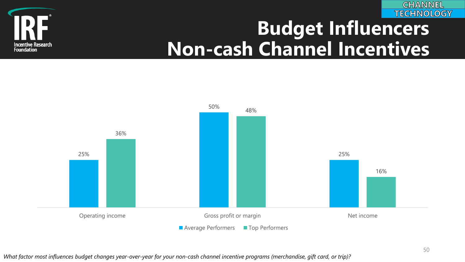



# **Budget Influencers Non-cash Channel Incentives**



*What factor most influences budget changes year-over-year for your non-cash channel incentive programs (merchandise, gift card, or trip)?*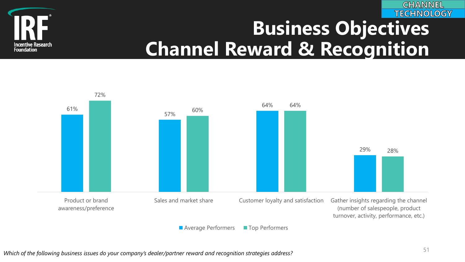

### **TECHNOLOGY Business Objectives Channel Reward & Recognition**



*Which of the following business issues do your company's dealer/partner reward and recognition strategies address?* <sup>51</sup>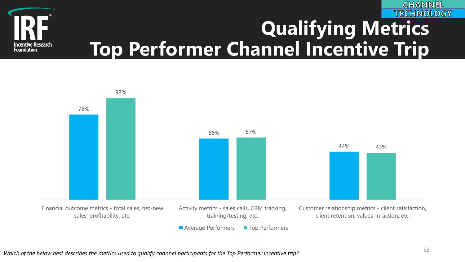

### **TECHNOLOGY Qualifying Metrics Top Performer Channel Incentive Trip**

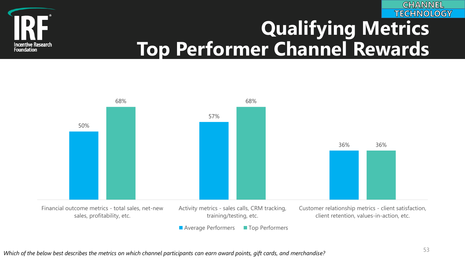

### **TECHNOLOGY Qualifying Metrics Top Performer Channel Rewards**



*Which of the below best describes the metrics on which channel participants can earn award points, gift cards, and merchandise?* <sup>53</sup>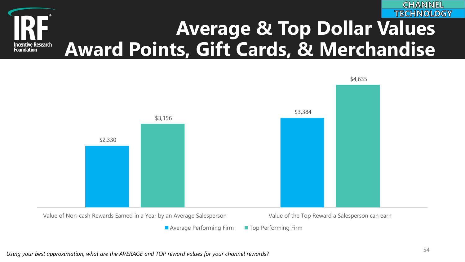



**Average Performing Firm Top Performing Firm**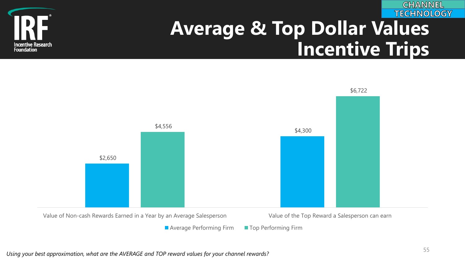

# **Average & Top Dollar Values Incentive Trips**





■ Average Performing Firm ■ Top Performing Firm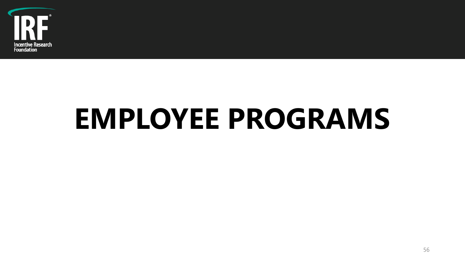

# **EMPLOYEE PROGRAMS**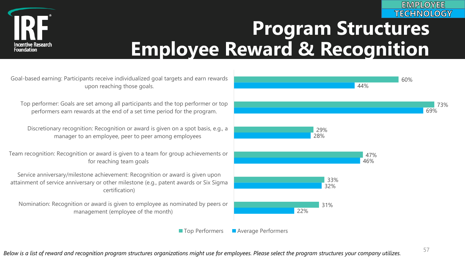

### **TECHNOLOGY Program Structures Employee Reward & Recognition**

Goal-based earning: Participants receive individualized goal targets and earn rewards upon reaching those goals.

Top performer: Goals are set among all participants and the top performer or top performers earn rewards at the end of a set time period for the program.

Discretionary recognition: Recognition or award is given on a spot basis, e.g., a manager to an employee, peer to peer among employees

Team recognition: Recognition or award is given to a team for group achievements or for reaching team goals

Service anniversary/milestone achievement: Recognition or award is given upon attainment of service anniversary or other milestone (e.g., patent awards or Six Sigma certification)

Nomination: Recognition or award is given to employee as nominated by peers or management (employee of the month)



■ Top Performers ■ Average Performers

**EMPLOYEE**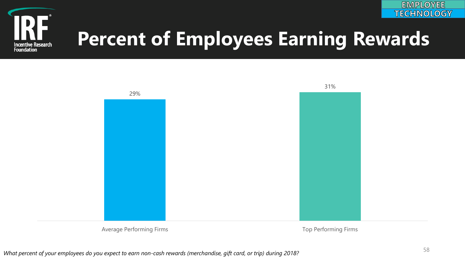



# **Percent of Employees Earning Rewards**



Average Performing Firms **The Example 2018** Top Performing Firms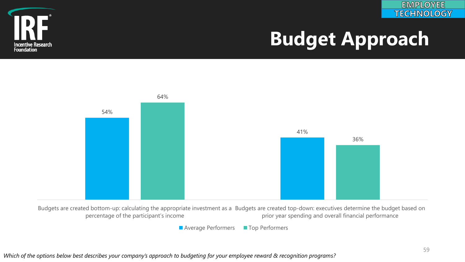



# **Budget Approach**



Budgets are created bottom-up: calculating the appropriate investment as a Budgets are created top-down: executives determine the budget based on percentage of the participant's income prior year spending and overall financial performance

■ Average Performers ■ Top Performers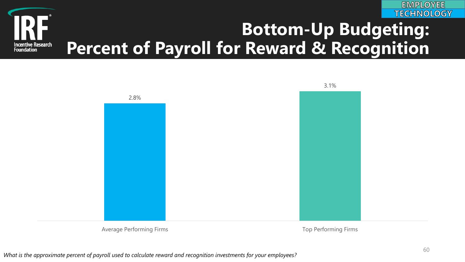

#### **Bottom-Up Budgeting: Percent of Payroll for Reward & Recognition Incentive Research<br>Foundation**



Average Performing Firms **Top Performing Firms** Top Performing Firms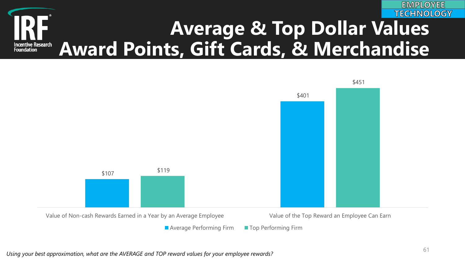#### **EMPLOYEE TECHNOLOGY Average & Top Dollar Values Award Points, Gift Cards, & Merchandise Incentive Research<br>Foundation**

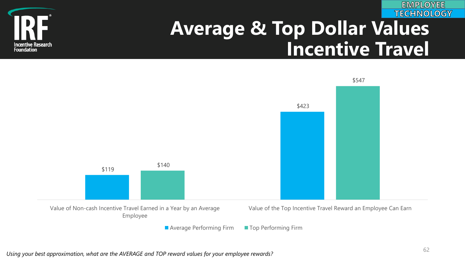**Incentive Research Foundation** 

### **TECHNOLOGY Average & Top Dollar Values Incentive Travel**



■ Average Performing Firm ■ Top Performing Firm

**EMPLOYEE**